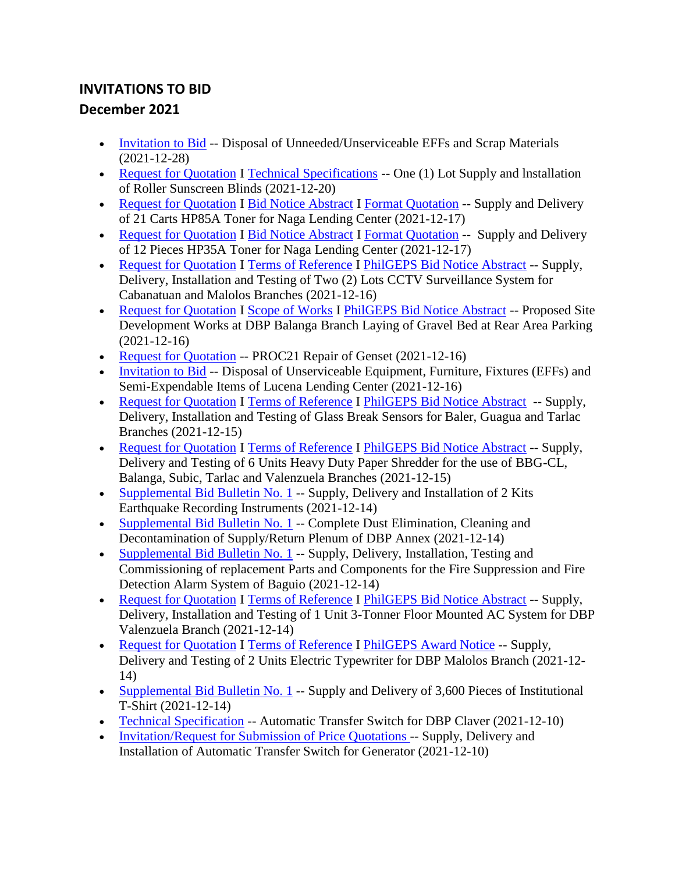## **INVITATIONS TO BID December 2021**

- [Invitation to Bid](https://www.dbp.ph/wp-content/uploads/2021/12/7-Invitation-to-Bid-1.pdf) -- Disposal of Unneeded/Unserviceable EFFs and Scrap Materials (2021-12-28)
- [Request for Quotation](https://www.dbp.ph/wp-content/uploads/2021/12/RFQ-ROLLER-BLINDS-SUNSCREEN001.pdf) I [Technical Specifications](https://www.dbp.ph/wp-content/uploads/2021/12/TECH-SPECS-ROLLER-BLINDS-SUNSCREEN001.pdf) -- One (1) Lot Supply and Installation of Roller Sunscreen Blinds (2021-12-20)
- [Request for Quotation](https://www.dbp.ph/wp-content/uploads/2021/12/RFQ-85a.pdf) I [Bid Notice Abstract](https://www.dbp.ph/wp-content/uploads/2021/12/85A-printableBidNoticeAbstract.pdf) I [Format Quotation](https://www.dbp.ph/wp-content/uploads/2021/12/Format-Quotation-85a.pdf) -- Supply and Delivery of 21 Carts HP85A Toner for Naga Lending Center (2021-12-17)
- [Request for Quotation](https://www.dbp.ph/wp-content/uploads/2021/12/RFQ-35a.pdf) I [Bid Notice Abstract](https://www.dbp.ph/wp-content/uploads/2021/12/35A-printableBidNoticeAbstract.pdf) I [Format Quotation](https://www.dbp.ph/wp-content/uploads/2021/12/Format-Quotation-35a.pdf) -- Supply and Delivery of 12 Pieces HP35A Toner for Naga Lending Center (2021-12-17)
- [Request for Quotation](https://www.dbp.ph/wp-content/uploads/2021/12/RFQ-CCTV.pdf) I [Terms of Reference](https://www.dbp.ph/wp-content/uploads/2021/12/TOR-CCTV-System.pdf) I [PhilGEPS Bid Notice Abstract](https://www.dbp.ph/wp-content/uploads/2021/12/PhilGEPS-Bid-Notice-Abstract-RFQ-Reference-No.-8306588.pdf) -- Supply, Delivery, Installation and Testing of Two (2) Lots CCTV Surveillance System for Cabanatuan and Malolos Branches (2021-12-16)
- [Request for Quotation](https://www.dbp.ph/wp-content/uploads/2021/12/REQUEST-FOR-QUOTATION-GRAVEL-BED.pdf) I [Scope of Works](https://www.dbp.ph/wp-content/uploads/2021/12/SCOPE-OF-WORKS-GRAVEL-BED.pdf) I [PhilGEPS Bid Notice Abstract](https://www.dbp.ph/wp-content/uploads/2021/12/PhilGEPS-Bid-Notice-Abstract-RFQ-Ref.-No.-8306625.pdf) -- Proposed Site Development Works at DBP Balanga Branch Laying of Gravel Bed at Rear Area Parking (2021-12-16)
- [Request for Quotation](https://www.dbp.ph/wp-content/uploads/2021/12/RFQ-Repair-of-Genset.pdf) -- PROC21 Repair of Genset (2021-12-16)
- [Invitation to Bid](https://www.dbp.ph/wp-content/uploads/2021/12/SLLG_Invitation-to-Bid_Unserviceable-EFF_12152021.pdf) -- Disposal of Unserviceable Equipment, Furniture, Fixtures (EFFs) and Semi-Expendable Items of Lucena Lending Center (2021-12-16)
- [Request for Quotation](https://www.dbp.ph/wp-content/uploads/2021/12/Request-for-Quotation-Glass-Break-Sensor.pdf) I [Terms of Reference](https://www.dbp.ph/wp-content/uploads/2021/12/Terms-of-Reference-Glass-Break-Sensor.pdf) I [PhilGEPS Bid Notice Abstract](https://www.dbp.ph/wp-content/uploads/2021/12/PhilGEPS-Bid-Notice-Abstract-RFQ-Ref.-No.-8302844-Glass-Break-Sensor-for-Baler-Guagua-Tarlac-Brs.-Re-posting.pdf) -- Supply, Delivery, Installation and Testing of Glass Break Sensors for Baler, Guagua and Tarlac Branches (2021-12-15)
- [Request for Quotation](https://www.dbp.ph/wp-content/uploads/2021/12/Request-for-Quotation-Paper-Shredder.pdf) I [Terms of Reference](https://www.dbp.ph/wp-content/uploads/2021/12/Terms-of-Reference-Paper-Shredder.pdf) I [PhilGEPS Bid Notice Abstract](https://www.dbp.ph/wp-content/uploads/2021/12/PhilGEPS-Bid-Notice-Abstract-RFQ-Ref.-No.-83002809-Paper-Shredder.pdf) -- Supply, Delivery and Testing of 6 Units Heavy Duty Paper Shredder for the use of BBG-CL, Balanga, Subic, Tarlac and Valenzuela Branches (2021-12-15)
- [Supplemental Bid Bulletin No. 1](https://www.dbp.ph/wp-content/uploads/2021/12/Supplemental-Bid-Bulletin-No.-1-G-2021-53.pdf) -- Supply, Delivery and Installation of 2 Kits Earthquake Recording Instruments (2021-12-14)
- [Supplemental Bid Bulletin No. 1](https://www.dbp.ph/wp-content/uploads/2021/12/Supplemental-Bid-Bulletin-No.-1-G-2021-54.pdf) -- Complete Dust Elimination, Cleaning and Decontamination of Supply/Return Plenum of DBP Annex (2021-12-14)
- [Supplemental Bid Bulletin No. 1](https://www.dbp.ph/wp-content/uploads/2021/12/Supplemental-Bid-Bulletin-No.-1-G-2021-52.pdf) -- Supply, Delivery, Installation, Testing and Commissioning of replacement Parts and Components for the Fire Suppression and Fire Detection Alarm System of Baguio (2021-12-14)
- [Request for Quotation](https://www.dbp.ph/wp-content/uploads/2021/12/RFQ-3T-AC-UNIT-FOR-VALENZUELA-BR.pdf) I [Terms of Reference](https://www.dbp.ph/wp-content/uploads/2021/12/TOR-AIRCONDITIONING-SYSTEM-VALENZUELA.pdf) I [PhilGEPS Bid Notice Abstract](https://www.dbp.ph/wp-content/uploads/2021/12/PhilGEPS-Bid-Notice-Abstract-Ref.-No.-8298239-3T-AC-for-Valenzuela-Branch-1.pdf) -- Supply, Delivery, Installation and Testing of 1 Unit 3-Tonner Floor Mounted AC System for DBP Valenzuela Branch (2021-12-14)
- [Request for Quotation](https://www.dbp.ph/wp-content/uploads/2021/12/RFQ-2-UNITS-ELECTRIC-TYPEWRITER-FOR-SFP-TARLAC-BRANCHES.pdf) I [Terms of Reference](https://www.dbp.ph/wp-content/uploads/2021/12/TOR-2-Units-Electric-Typewriter-.pdf) I [PhilGEPS Award Notice](https://www.dbp.ph/wp-content/uploads/2021/12/PhilGEPS-Award-Notice-Abstract-Ref.-No.-3338377-Updated-Construction-of-Stockroom-GenSet-Water-Tank-Security-Fence-Parking-Area-Malolos-Br-1.pdf) -- Supply, Delivery and Testing of 2 Units Electric Typewriter for DBP Malolos Branch (2021-12- 14)
- Supplemental Bid Bulletin No.  $1$  -- Supply and Delivery of 3,600 Pieces of Institutional T-Shirt (2021-12-14)
- [Technical Specification](https://www.dbp.ph/wp-content/uploads/2021/12/Technical-Spec-ATS-Genset-Copy-1.pdf) -- Automatic Transfer Switch for DBP Claver (2021-12-10)
- [Invitation/Request for Submission of Price Quotations -](https://www.dbp.ph/wp-content/uploads/2021/12/REQUEST-FOR-POSTING-TO-DBP-WEBSITE-2-3.pdf) Supply, Delivery and Installation of Automatic Transfer Switch for Generator (2021-12-10)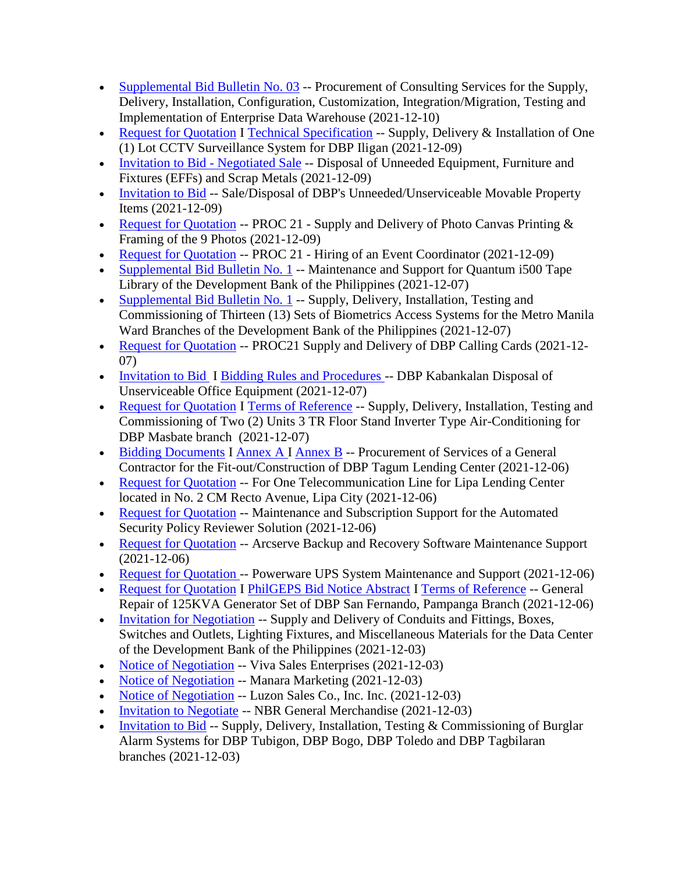- [Supplemental Bid Bulletin No. 03](https://www.dbp.ph/wp-content/uploads/2021/12/R-Bid-Bulletin-No.-3-Data-Warehouse-C-2021-09-1.pdf) -- Procurement of Consulting Services for the Supply, Delivery, Installation, Configuration, Customization, Integration/Migration, Testing and Implementation of Enterprise Data Warehouse (2021-12-10)
- [Request for Quotation](https://www.dbp.ph/wp-content/uploads/2021/12/printableBidNoticeAbstract.pdf) I [Technical Specification](https://www.dbp.ph/wp-content/uploads/2021/12/SPECS.pdf) -- Supply, Delivery & Installation of One (1) Lot CCTV Surveillance System for DBP Iligan (2021-12-09)
- [Invitation to Bid -](https://www.dbp.ph/wp-content/uploads/2021/12/7-Invitation-to-Bid.pdf) Negotiated Sale -- Disposal of Unneeded Equipment, Furniture and Fixtures (EFFs) and Scrap Metals (2021-12-09)
- [Invitation to Bid](https://www.dbp.ph/wp-content/uploads/2021/12/Invitation-to-Bid_Public-Bidding-Rebid.pdf) -- Sale/Disposal of DBP's Unneeded/Unserviceable Movable Property Items (2021-12-09)
- [Request for Quotation](https://www.dbp.ph/wp-content/uploads/2021/12/PhilGEPS8285539-Photo-Canvas-Printing-and-Framing-of-9-Photos.pdf) -- PROC 21 Supply and Delivery of Photo Canvas Printing  $\&$ Framing of the 9 Photos (2021-12-09)
- [Request for Quotation](https://www.dbp.ph/wp-content/uploads/2021/12/PhilGEPS8283816-Hiring-of-an-Event-Coordinator.pdf) -- PROC 21 Hiring of an Event Coordinator (2021-12-09)
- [Supplemental Bid Bulletin No. 1](https://www.dbp.ph/wp-content/uploads/2021/12/R-Quantum-I500-bid-bulletin-no.-1-G-2021-47.pdf) -- Maintenance and Support for Quantum i500 Tape Library of the Development Bank of the Philippines (2021-12-07)
- [Supplemental Bid Bulletin No. 1](https://www.dbp.ph/wp-content/uploads/2021/12/R-Bid-Bulletin-Biometrics-access-systems.pdf) -- Supply, Delivery, Installation, Testing and Commissioning of Thirteen (13) Sets of Biometrics Access Systems for the Metro Manila Ward Branches of the Development Bank of the Philippines (2021-12-07)
- [Request for Quotation](https://www.dbp.ph/wp-content/uploads/2021/12/PhilGEPS8278550-Supply-and-Delivery-of-DBP-Calling-Cards.pdf) -- PROC21 Supply and Delivery of DBP Calling Cards (2021-12-07)
- [Invitation to](https://www.dbp.ph/wp-content/uploads/2021/12/ITB.pdf) Bid I [Bidding Rules and Procedures -](https://www.dbp.ph/wp-content/uploads/2021/12/Bidding-Rules-and-Procedures.pdf) DBP Kabankalan Disposal of Unserviceable Office Equipment (2021-12-07)
- [Request for Quotation](https://www.dbp.ph/wp-content/uploads/2021/12/PHILGEPS_RFQ.pdf) I [Terms of Reference](https://www.dbp.ph/wp-content/uploads/2021/12/TOR.pdf) -- Supply, Delivery, Installation, Testing and Commissioning of Two (2) Units 3 TR Floor Stand Inverter Type Air-Conditioning for DBP Masbate branch (2021-12-07)
- [Bidding Documents](https://www.dbp.ph/wp-content/uploads/2021/12/Bidding-Docs-Tagum-LC.pdf) I [Annex A I](https://www.dbp.ph/wp-content/uploads/2021/12/Annex-A.pdf) [Annex B](https://www.dbp.ph/wp-content/uploads/2021/12/ANNEX-B-TAGUM-DAVAO-DEL-NORTE-LC-BOQ-BLANK.pdf) -- Procurement of Services of a General Contractor for the Fit-out/Construction of DBP Tagum Lending Center (2021-12-06)
- [Request for Quotation](https://www.dbp.ph/wp-content/uploads/2021/12/RFQ-telco-lipa-lending-center.pdf) -- For One Telecommunication Line for Lipa Lending Center located in No. 2 CM Recto Avenue, Lipa City (2021-12-06)
- [Request for Quotation](https://www.dbp.ph/wp-content/uploads/2021/12/RFQ-Security-Policy-2021.pdf) -- Maintenance and Subscription Support for the Automated Security Policy Reviewer Solution (2021-12-06)
- [Request for Quotation](https://www.dbp.ph/wp-content/uploads/2021/12/E-ARCSERVE.pdf) -- Arcserve Backup and Recovery Software Maintenance Support (2021-12-06)
- [Request for Quotation -](https://www.dbp.ph/wp-content/uploads/2021/12/E-POWERWARE.pdf) Powerware UPS System Maintenance and Support (2021-12-06)
- [Request for Quotation](https://www.dbp.ph/wp-content/uploads/2021/12/REQUEST-FOR-QUOTATION-125KVS-GENSET-1.pdf) I [PhilGEPS Bid Notice Abstract](https://www.dbp.ph/wp-content/uploads/2021/12/PhilGEPS-Bid-Notice-Abstract-RFQ-Reference-No_-1.pdf) I [Terms of Reference](https://www.dbp.ph/wp-content/uploads/2021/12/TERMS-OF-REFERENCE-125KVS-GENSET.pdf) -- General Repair of 125KVA Generator Set of DBP San Fernando, Pampanga Branch (2021-12-06)
- [Invitation for Negotiation](https://www.dbp.ph/wp-content/uploads/2021/12/Notice-for-Negotiation-Conduits-and-Fittings-Boxes-Switches-and-Outlets-Lighting-Fixtures-and-Miscellaneous-Materials.pdf) -- Supply and Delivery of Conduits and Fittings, Boxes, Switches and Outlets, Lighting Fixtures, and Miscellaneous Materials for the Data Center of the Development Bank of the Philippines (2021-12-03)
- [Notice of Negotiation](https://www.dbp.ph/wp-content/uploads/2021/12/Notice-of-Nego-Viva-Sales-Enterprises.pdf) -- Viva Sales Enterprises (2021-12-03)
- [Notice of Negotiation](https://www.dbp.ph/wp-content/uploads/2021/12/Notice-of-Nego-Manara-Marketing.pdf) -- Manara Marketing (2021-12-03)
- [Notice of Negotiation](https://www.dbp.ph/wp-content/uploads/2021/12/Notice-of-Nego-Luzon-Sales-Co.-Inc_.pdf) -- Luzon Sales Co., Inc. Inc. (2021-12-03)
- [Invitation to Negotiate](https://www.dbp.ph/wp-content/uploads/2021/12/Invitation-to-Nego-NBR-General-Merchandise.pdf) -- NBR General Merchandise (2021-12-03)
- [Invitation to Bid](https://www.dbp.ph/wp-content/uploads/2021/12/DBP_BURGLAR-ALARM_Invitation-to-Bid_11.30.2021.pdf) -- Supply, Delivery, Installation, Testing  $&$  Commissioning of Burglar Alarm Systems for DBP Tubigon, DBP Bogo, DBP Toledo and DBP Tagbilaran branches (2021-12-03)